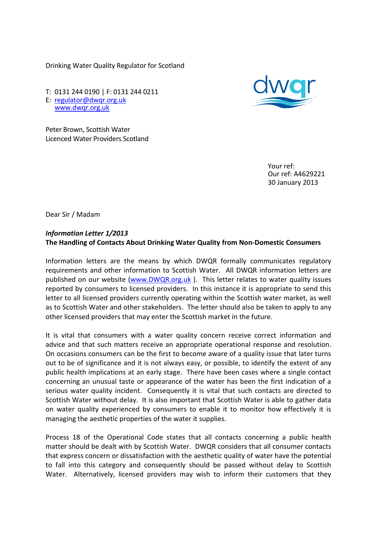Drinking Water Quality Regulator for Scotland

T: 0131 244 0190 | F: 0131 244 0211 E: [regulator@dwqr.org.uk](mailto:regulator@dwqr.org.uk)  [www.dwqr.org.uk](http://www.dwqr.org.uk/)

Peter Brown, Scottish Water Licenced Water Providers Scotland

> Your ref: Our ref: A4629221 30 January 2013

Dear Sir / Madam

## *Information Letter 1/2013* **The Handling of Contacts About Drinking Water Quality from Non-Domestic Consumers**

Information letters are the means by which DWQR formally communicates regulatory requirements and other information to Scottish Water. All DWQR information letters are published on our website [\(www.DWQR.org.uk](http://www.dwqr.org.uk/) ). This letter relates to water quality issues reported by consumers to licensed providers. In this instance it is appropriate to send this letter to all licensed providers currently operating within the Scottish water market, as well as to Scottish Water and other stakeholders. The letter should also be taken to apply to any other licensed providers that may enter the Scottish market in the future.

It is vital that consumers with a water quality concern receive correct information and advice and that such matters receive an appropriate operational response and resolution. On occasions consumers can be the first to become aware of a quality issue that later turns out to be of significance and it is not always easy, or possible, to identify the extent of any public health implications at an early stage. There have been cases where a single contact concerning an unusual taste or appearance of the water has been the first indication of a serious water quality incident. Consequently it is vital that such contacts are directed to Scottish Water without delay. It is also important that Scottish Water is able to gather data on water quality experienced by consumers to enable it to monitor how effectively it is managing the aesthetic properties of the water it supplies.

Process 18 of the Operational Code states that all contacts concerning a public health matter should be dealt with by Scottish Water. DWQR considers that all consumer contacts that express concern or dissatisfaction with the aesthetic quality of water have the potential to fall into this category and consequently should be passed without delay to Scottish Water. Alternatively, licensed providers may wish to inform their customers that they